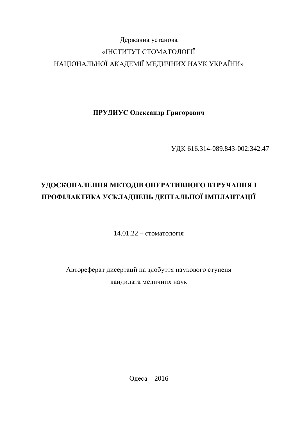## Державна установа «ІНСТИТУТ СТОМАТОЛОГІЇ НАЦІОНАЛЬНОЇ АКАДЕМІЇ МЕДИЧНИХ НАУК УКРАЇНИ»

ПРУДИУС Олександр Григорович

ɍȾɄ 616.314-089.843-002:342.47

# УДОСКОНАЛЕННЯ МЕТОДІВ ОПЕРАТИВНОГО ВТРУЧАННЯ І ПРОФІЛАКТИКА УСКЛАДНЕНЬ ДЕНТАЛЬНОЇ ІМПЛАНТАЦІЇ

 $14.01.22 - c$ томатологія

Автореферат дисертації на здобуття наукового ступеня кандидата медичних наук

Одеса – 2016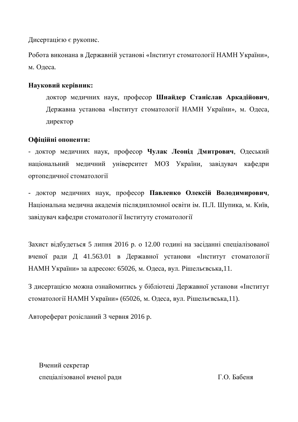Дисертацією є рукопис.

Робота виконана в Державній установі «Інститут стоматології НАМН України», м. Одеса.

#### **Науковий керівник:**

доктор медичних наук, професор Шнайдер Станіслав Аркадійович, Державна установа «Інститут стоматології НАМН України», м. Одеса, директор

### Офіційні опоненти:

- доктор медичних наук, професор Чулак Леонід Дмитрович, Одеський національний медичний університет МОЗ України, завідувач кафедри ортопедичної стоматології

- доктор медичних наук, професор Павленко Олексій Володимирович, Національна медична академія післядипломної освіти ім. П.Л. Шупика, м. Київ, завідувач кафедри стоматології Інституту стоматології

Захист вілбулеться 5 липня 2016 р. о 12.00 годині на засіланні спеціалізованої вченої ради Д 41.563.01 в Державної установи «Інститут стоматології НАМН України» за адресою: 65026, м. Одеса, вул. Рішельєвська,11.

З дисертацією можна ознайомитись у бібліотеці Державної установи «Інститут стоматології НАМН України» (65026, м. Одеса, вул. Рішельєвська,11).

Автореферат розісланий 3 червня 2016 р.

Вчений секретар спеціалізованої вченої ради П.О. Бабеня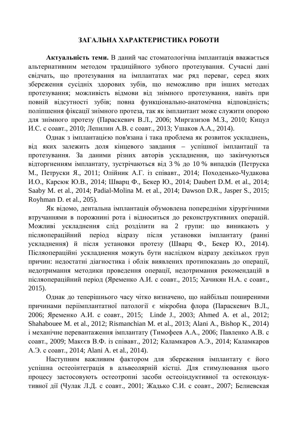### ЗАГАЛЬНА ХАРАКТЕРИСТИКА РОБОТИ

**Актуальність теми.** В даний час стоматологічна імплантація вважається альтернативним методом традиційного зубного протезування. Сучасні дані свідчать, що протезування на імплантатах має ряд переваг, серед яких збереження сусідніх здорових зубів, що неможливо при інших методах протезування; можливість відмови від знімного протезування, навіть при повній вілсутності зубів; повна функціонально-анатомічна вілповілність; поліпшення фіксації знімного протеза, так як імплантант може служити опорою для знімного протезу (Параскевич В.Л., 2006; Миргазизов М.З., 2010; Кицул И.С. с соавт., 2010; Лепилин А.В. с соавт., 2013; Ушаков А.А., 2014).

Однак з імплантацією пов'язана і така проблема як розвиток ускладнень, від яких залежить доля кінцевого завдання – успішної імплантації та протезування. За даними різних авторів ускладнення, що закінчуються відторгненням імплантату, зустрічаються від 3 % до 10 % випадків (Петруска М., Петруски Я., 2011; Олійник А.Г. із співавт., 2014; Походенько-Чудакова И.О., Карсюк Ю.В., 2014; Шварц Ф., Бекер Ю., 2014; Daubert D.M. et al., 2014; Saaby M. et al., 2014; Padial-Molina M. et al., 2014; Dawson D.R., Jasper S., 2015; Royhman D. et al., 205).

Як відомо, дентальна імплантація обумовлена попередніми хірургічними втручаннями в порожнині рота і відноситься до реконструктивних операцій. Можливі ускладнення слід розділити на 2 групи: що виникають у післяопераційний період відразу після установки імплантату (ранні ускладнення) й після установки протезу (Шварц Ф., Бекер Ю., 2014). Післяопераційні ускладнення можуть бути наслідком відразу декількох груп причин: недостатні діагностика і облік виявлених протипоказань до операції, недотримання методики проведення операції, недотримання рекомендацій в післяопераційний період (Яременко А.И. с соавт., 2015; Хачикян Н.А. с соавт., 2015).

Однак до теперішнього часу чітко визначено, що найбільш поширеними причинами періімплантатної патології є мікробна флора (Параскевич В.Л., 2006; Яременко А.И. с соавт., 2015; Linde J., 2003; Ahmed A. et al., 2012; Shahabouee M. et al., 2012; Rismanchian M. et al., 2013; Alani A., Bishop K., 2014) і механічне перевантаження імплантату (Тимофеев А.А., 2006; Павленко А.В. с соавт., 2009; Макєєв В.Ф. із співавт., 2012; Каламкаров А.Э., 2014; Каламкаров A. Э. с соавт., 2014; Alani A. et al., 2014).

Наступним важливим фактором для збереження імплантату є його успішна остеоінтеграція в альвеолярній кістці. Для стимулювання цього процесу застосовують остеотропні засоби остеоіндуктивної та остекондуктивної дії (Чулак Л.Д. с соавт., 2001; Жадько С.И. с соавт., 2007; Белиевская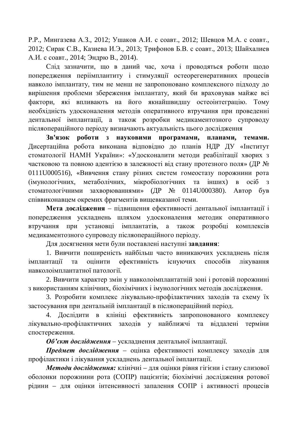Р.Р., Мингазева А.З., 2012; Ушаков А.И. с соавт., 2012; Шевцов М.А. с соавт., 2012; Сирак С.В., Казиева И.Э., 2013; Трифонов Б.В. с соавт., 2013; Шайхалиев А.И. с соавт., 2014; Эндрю В., 2014).

Слід зазначити, що в даний час, хоча і проводяться роботи щодо попередження періімплантиту і стимуляції остеорегенеративних процесів навколо імплантату, тим не менш не запропоновано комплексного підходу до вирішення проблеми збереження імплантату, який би враховував майже всі фактори, які впливають на його якнайшвилшу остеоінтеграцію. Тому необхідність удосконалення методів оперативного втручання при проведенні дентальної імплантації, а також розробки медикаментозного супроводу післяопераційного періоду визначають актуальність цього дослідження

3в'язок  $\overline{DO6}$ **TH** 3 **HAVKOBИМИ ПРОГРАМАМИ, ПЛАНАМИ, ТЕМАМИ** Дисертаційна робота виконана відповідно до планів НДР ДУ «Інститут стоматології НАМН України»: «Удосконалити методи реабілітації хворих з частковою та повною адентією в залежності від стану протезного поля» (ДР № 0111U000516), «Вивчення стану різних систем гомеостазу порожнини рота (імунологічних, метаболічних, мікробіологічних та інших) в осіб з стоматологічними захворюваннями» (ДР  $\mathbb{N}_2$  0114U000380). Автор був співвиконавцем окремих фрагментів вищевказаної теми.

Мета дослідження – підвищення ефективності дентальної імплантації і попередження ускладнень шляхом удосконалення методик оперативного втручання при установці імплантатів, а також розробці комплексів медикаментозного супроводу післяопераційного періоду.

Ⱦɥɹɞɨɫɹɝɧɟɧɧɹɦɟɬɢɛɭɥɢɩɨɫɬɚɜɥɟɧɿɧɚɫɬɭɩɧɿ **ɡɚɜɞɚɧɧɹ**:

1. Вивчити поширеність найбільш часто виникаючих ускладнень після імплантації та оцінити ефективність існуючих способів лікування навколоімплантатної патології.

2. Вивчити характер змін у навколоімплантатній зоні і ротовій порожнині з використанням клінічних, біохімічних і імунологічних методів дослідження.

3. Розробити комплекс лікувально-профілактичних заходів та схему їх застосування при дентальній імплантації в післяопераційний період.

4. Дослідити в клініці ефективність запропонованого комплексу лікувально-профілактичних заходів у найближчі та віддалені терміни спостереження.

Об'єкт дослідження – ускладнення дентальної імплантації.

Предмет дослідження – оцінка ефективності комплексу заходів для профілактики і лікування ускладнень дентальної імплантації.

*Методи дослідження:* клінічні – для оцінки рівня гігієни і стану слизової оболонки порожнини рота (СОПР) пацієнтів; біохімічні дослідження ротової рідини – для оцінки інтенсивності запалення СОПР і активності процесів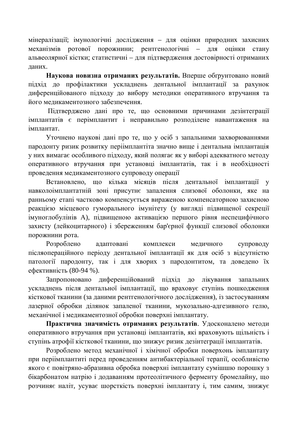мінералізації; імунологічні дослідження – для оцінки природних захисних механізмів ротової порожнини; рентгенологічні – для оцінки стану альвеолярної кістки: статистичні – лля пілтвердження достовірності отриманих даних.

Наукова новизна отриманих результатів. Вперше обтрунтовано новий підхід до профілактики ускладнень дентальної імплантації за рахунок диференційованого підходу до вибору методики оперативного втручання та його меликаментозного забезпечення.

Підтверджено дані про те, що основними причинами дезінтеграції імплантатів є перімплантит і неправильно розподілене навантаження на імплантат.

Уточнено наукові дані про те, що у осіб з запальними захворюваннями пародонту ризик розвитку періімплантіта значно више і дентальна імплантація у них вимагає особливого підходу, який полягає як у виборі адекватного методу оперативного втручання при установці імплантатів, так і в необхідності проведення медикаментозного супроводу операції

Встановлено, що кілька місяців після дентальної імплантації у навколоімплантатній зоні присутнє запалення слизової оболонки, яке на ранньому етапі частково компенсується вираженою компенсаторною захисною реакцією місцевого гуморального імунітету (у вигляді підвищеної секреції імуноглобулінів А), підвищеною активацією першого рівня неспецифічного захисту (лейкоцитарного) і збереженням бар'єрної функції слизової оболонки порожнини рота.

Розроблено адаптовані комплекси медичного супроводу післяопераційного періоду дентальної імплантації як для осіб з відсутністю патології пародонту, так і для хворих з пародонтитом, та доведено їх ефективність (80-94 %).

Запропоновано диференційований підхід до лікування запальних ускладнень після дентальної імплантації, що враховує ступінь пошкодження кісткової тканини (за даними рентгенологічного дослідження), із застосуванням лазерної обробки ділянок запаленої тканини, мукозально-адгезивного гелю, механічної і медикаментозної обробки поверхні імплантату.

Практична значимість отриманих результатів. Удосконалено методи оперативного втручання при установці імплантатів, які враховують щільність і ступінь атрофії кісткової тканини, що знижує ризик дезінтеграції імплантатів.

Розроблено метод механічної і хімічної обробки поверхонь імплантату при періімплантиті перед проведенням антибактеріальної терапії, особливістю якого є повітряно-абразивна обробка поверхні імплантату сумішшю порошку з бікарбонатом натрію і додаванням протеолітичного ферменту бромелайну, що розчиняє наліт, усуває шорсткість поверхні імплантату і, тим самим, знижує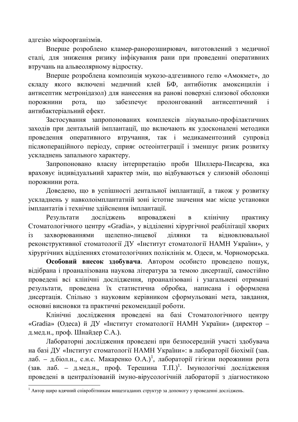адгезію мікроорганізмів.

Вперше розроблено кламер-ранорозширювач, виготовлений з медичної сталі, для зниження ризику інфікування рани при проведенні оперативних втручань на альвеолярному відростку.

Вперше розроблена композиція мукозо-адгезивного гелю «Амокмет», до складу якого включені медичний клей БФ, антибіотик амоксицилін і антисептик метронідазол) для нанесення на ранові поверхні слизової оболонки порожнини рота, що забезпечує пролонгований антисептичний і антибактеріальний ефект.

Застосування запропонованих комплексів лікувально-профілактичних заходів при дентальній імплантації, що включають як удосконалені методики проведення оперативного втручання, так і медикаментозний супровід післяопераційного періоду, сприяє остеоінтеграції і зменшує ризик розвитку ускладнень запального характеру.

Запропоновано власну інтерпретацію проби Шиллера-Писарєва, яка враховує індивідуальний характер змін, що відбуваються у слизовій оболонці порожнини рота.

Довелено, що в успішності лентальної імплантації, а також у розвитку ускладнень у навколоімплантатній зоні істотне значення має місце установки імплантатів і технічне злійснення імплантації.

Результати досліджень впроваджені в клінічну практику Стоматологічного центру «Gradia», у відділенні хірургічної реабілітації хворих јз захворюваннями шелепно-лицевої лілянки та вілновлювальної реконструктивної стоматології ДУ «Інститут стоматології НАМН України», у хірургічних відділеннях стоматологічних поліклінік м. Одеси, м. Чорноморська.

Особовий внесок здобувача. Автором особисто проведено пошук, відібрана і проаналізована наукова література за темою дисертації, самостійно проведені всі клінічні дослідження, проаналізовані і узагальнені отримані результати, проведена їх статистична обробка, написана і оформлена дисертація. Спільно з науковим керівником сформульовані мета, завдання, основні висновки та практичні рекомендації роботи.

Клінічні дослідження проведені на базі Стоматологічного центру «Gradia» (Одеса) й ДУ «Інститут стоматології НАМН України» (директор – д.мед.н., проф. Шнайдер С.А.).

Лабораторні дослідження проведені при безпосередній участі здобувача на базі ДУ «Інститут стоматології НАМН України»: в лабораторії біохімії (зав. лаб. – д.біол.н., с.н.с. Макаренко О.А.)<sup>1</sup>, лабораторії гігієни порожнини рота (зав. лаб. – д.мед.н., проф. Терешина Т.П.)<sup>1</sup>. Імунологічні дослідження проведені в централізованій імуно-вірусологічній лабораторії з діагностикою

 $^1$  Автор щиро вдячний співробітникам вищезгаданих структур за допомогу у проведенні досліджень.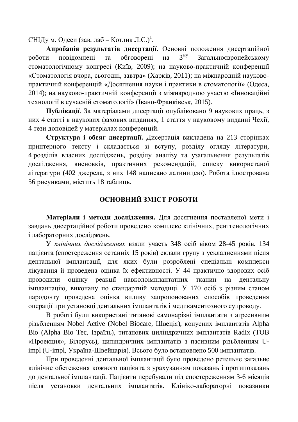СНІДу м. Одеси (зав. лаб – Котлик Л.С.)<sup>1</sup>.

Апробація результатів дисертації. Основні положення дисертаційної  $1000$ ти повіломлені та обговорені на  $3^{My}$  Загальноєвропейському стоматологічному конгресі (Київ, 2009); на науково-практичній конференції «Стоматологія вчора, сьогодні, завтра» (Харків, 2011); на міжнародній науковопрактичній конференцій «Досягнення науки і практики в стоматології» (Одеса, 2014); на науково-практичній конференції з міжнародною участю «Інноваційні технології в сучасній стоматології» (Івано-Франківськ, 2015).

Публікації. За матеріалами дисертації опубліковано 9 наукових праць, з них 4 статті в наукових фахових виданнях, 1 стаття у науковому виданні Чехії, 4 тези доповідей у матеріалах конференцій.

Структура і обсяг дисертації. Дисертація викладена на 213 сторінках принтерного тексту і складається зі вступу, розділу огляду літератури, 4 розділів власних досліджень, розділу аналізу та узагальнення результатів дослідження, висновків, практичних рекомендацій, списку використаної літератури (402 джерела, з них 148 написано латиницею). Робота ілюстрована 56 рисунками, містить 18 таблиць.

#### **ОСНОВНИЙ ЗМІСТ РОБОТИ**

Матеріали і методи дослідження. Для досягнення поставленої мети і завдань дисертаційної роботи проведено комплекс клінічних, рентгенологічних і лабораторних досліджень.

У клінічних дослідженнях взяли участь 348 ociб віком 28-45 років. 134 пацієнта (спостереження останніх 15 років) склали групу з ускладненнями після дентальної імплантації, для яких були розроблені спеціальні комплекси лікування й проведена оцінка їх ефективності. У 44 практично здорових осіб проводили ошнку реакції навколоімплантатних тканин на дентальну імплантацію, виконану по стандартній методиці. У 170 осіб з різним станом пародонту проведена оцінка впливу запропонованих способів проведення операції при установці дентальних імплантатів і медикаментозного супроводу.

В роботі були використані титанові самонарізні імплантати з агресивним різьбленням Nobel Active (Nobel Biocare, Швеція), конусних імплантатів Alpha Bio (Alpha Bio Tec, Ізраїль), титанових циліндричних імплантатів Radix (ТОВ «Проекция», Білорусь), циліндричних імплантатів з пасивним різьбленням Uimpl (U-impl, Україна-Швейцарія). Всього було встановлено 500 імплантатів.

При проведенні дентальної імплантації було проведено ретельне загальне клінічне обстеження кожного пацієнта з урахуванням показань і протипоказань до дентальної імплантації. Пацієнти перебували під спостереженням 3-6 місяців після установки дентальних імплантатів. Клініко-лабораторні показники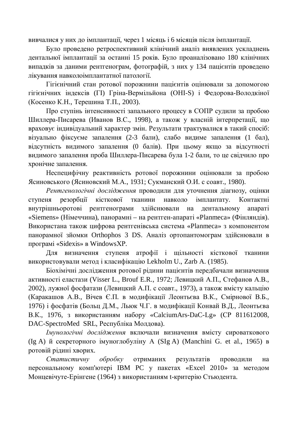вивчалися у них до імплантації, через 1 місяць і 6 місяців після імплантації.

Було проведено ретроспективний клінічний аналіз виявлених ускладнень дентальної імплантації за останні 15 років. Було проаналізовано 180 клінічних випадків за даними рентгенограм, фотографій, з них у 134 пацієнтів проведено лікування навколоімплантатної патології.

Гігієнічний стан ротової порожнини пацієнтів оцінювали за допомогою гігієнічних індексів (ГІ) Гріна-Вермільйона (ОНІ-S) і Федорова-Володкіної (Косенко К.Н., Терешина Т.П., 2003).

Про ступінь інтенсивності запального процесу в СОПР судили за пробою Шиллера-Писарева (Иванов В.С., 1998), а також у власній інтерпретації, що враховує індивідуальний характер змін. Результати трактувалися в такий спосіб: візуально фіксуєме запалення (2-3 бали), слабо видиме запалення (1 бал), відсутність видимого запалення (0 балів). При цьому якщо за відсутності видимого запалення проба Шиллера-Писарева була 1-2 бали, то це свідчило про хронічне запалення.

Неспецифічну реактивність ротової порожнини оцінювали за пробою Ясиновського (Ясиновский М.А., 1931; Сукманский О.И. с соавт., 1980).

Рентгенологічні дослідження проводили для уточнення діагнозу, оцінки ступеня резорбції кісткової тканини навколо імплантату. Контактні внутрішньоротові рентгенограми здійснювали на дентальному апараті «Siemens» (Німеччина), панорамні – на рентген-апараті «Planmeca» (Фінляндія). Використана також цифрова рентгенівська система «Planmeca» з компонентом панорамної зйомки Orthophos 3 DS. Аналіз ортопантомограм здійснювали в програмі «Sidexis» в WindowsXP.

Для визначення ступеня атрофії і щільності кісткової тканини використовували метод і класифікацію Lekholm U., Zarb A. (1985).

Біохімічні дослідження ротової рідини пацієнтів передбачали визначення активності еластази (Visser L., Brouf E.R., 1972; Левицкий А.П., Стефанов А.В., 2002), лужної фосфатази (Левицкий А.П. с соавт., 1973), а також вмісту кальцію (Каракашов А.В., Вічев Є.П. в модифікації Леонтьєва В.К., Смірнової В.Б., 1976) і фосфатів (Больц Д.М., Льюк Ч.Г. в модифікації Конвай В.Д., Леонтьєва В.К., 1976, з використанням набору «CalciumArs-DaC-Lg» (СР 811612008, DAC-SpectroMed SRL, Республіка Молдова).

*<u> Імунологічні дослідження включали визначення вмісту сироваткового*</u> (Ig A) й секреторного імуноглобуліну A (SIg A) (Manchini G. et al., 1965) в ротовій рідині хворих.

Статистичну обробку отриманих результатів проводили на персональному комп'ютері IBM PC у пакетах «Excel 2010» за методом Монцевічуте-Ерінгене (1964) з використанням t-критерію Стьюдента.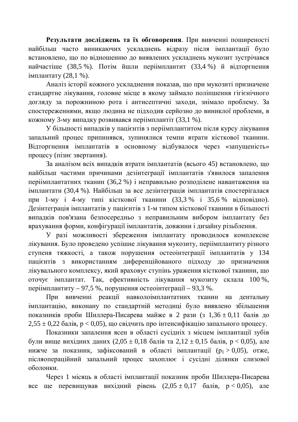Результати досліджень та їх обговорення. При вивченні поширеності найбільш часто виникаючих ускладнень відразу після імплантації було встановлено, шо по вілношенню до виявлених ускладнень мукозит зустрічався найчастіше (38,5 %). Потім йшли періімплантит (33,4 %) й відторгнення імплантату  $(28,1\%)$ .

Аналіз історії кожного ускладнення показав, що при мукозиті призначене стандартне лікування, головне місце в якому займало поліпшення гігієнічного догляду за порожниною рота і антисептичні заходи, знімало проблему. За спостереженнями, якщо людина не підходив серйозно до виниклої проблеми, в кожному 3-му випадку розвивався періімплантіт (33,1 %).

У більшості випадків у пацієнтів з періімплантитом після курсу лікування запальний процес припинявся, зупинялися темпи втрати кісткової тканини. Відторгнення імплантатів в основному відбувалося через «запущеність» процесу (пізнє звертання).

За аналізом всіх випадків втрати імплантатів (всього 45) встановлено, що найбільш частими причинами дезінтеграції імплантатів з'явилося запалення періімплантатних тканин (36,2 %) і неправильно розподілене навантаження на імплантати (30,4 %). Найбільш за все лезінтеграція імплантатів спостерігалася при 1-му і 4-му типі кісткової тканини (33,3 % і 35,6 % відповідно). Дезінтеграція імплантатів у пацієнтів з 1-м типом кісткової тканини в більшості випадків пов'язана безпосередньо з неправильним вибором імплантату без врахування форми, конфігурації імплантатів, довжини і дизайну різьблення.

У разі можливості збереження імплантату проводилося комплексне лікування. Було проведено успішне лікування мукозиту, періімплантиту різного ступеня тяжкості, а також порушення остеоінтеграції імплантатів у 134 пацієнтів з використанням диференційованого підходу до призначення лікувального комплексу, який враховує ступінь ураження кісткової тканини, що оточує імплантат. Так, ефективність лікування мукозиту склала 100%, періімплантиту – 97,5 %, порушення остеоінтеграції – 93,3 %.

При вивченні реакції навколоімплантатних тканин на дентальну імплантацію, виконану по стандартній методиці було виявлено збільшення показників проби Шиллера-Писарева майже в 2 рази (з  $1.36 \pm 0.11$  балів до  $2,55 \pm 0.22$  балів,  $p < 0.05$ ), що свідчить про інтенсифікацію запального процесу.

Показники запалення ясен в області сусідніх з місцем імплантації зубів були вище вихідних даних (2,05  $\pm$  0,18 балів та 2,12  $\pm$  0,15 балів, р < 0,05), але нижче за показник, зафіксований в області імплантації ( $p_1 > 0.05$ ), отже, післяопераційний запальний процес захоплює і сусідні ділянки слизової оболонки.

Через 1 місяць в області імплантації показник проби Шиллера-Писарева все ще перевищував вихідний рівень  $(2,05 \pm 0,17)$  балів,  $p < 0,05$ ), але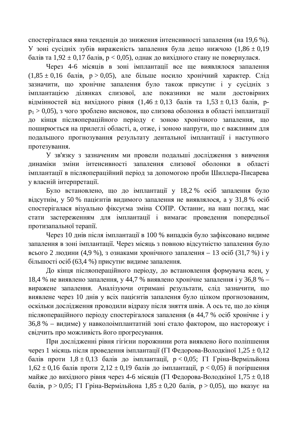спостерігалася явна тенденція до зниження інтенсивності запалення (на 19,6 %). У зоні сусідніх зубів вираженість запалення була дещо нижчою  $(1,86 \pm 0,19)$ балів та  $1,92 \pm 0,17$  балів, р < 0,05), однак до вихідного стану не повернулася.

Через 4-6 місяців в зоні імплантації все ще виявлялося запалення  $(1,85 \pm 0,16)$  балів,  $p > 0,05$ ), але більше носило хронічний характер. Слід зазначити, що хронічне запалення було також присутнє і у сусідніх з імплантацією ділянках слизової, але показники не мали достовірних вілмінностей віл вихілного рівня  $(1.46 \pm 0.13)$  балів та  $1.53 \pm 0.13$  балів, р $p_1 > 0.05$ ), з чого зроблено висновок, що слизова оболонка в області імплантації до кінця післяопераційного періоду є зоною хронічного запалення, що поширюється на прилеглі області, а, отже, і зоною напруги, що є важливим для подальшого прогнозування результату дентальної імплантації і наступного протезування.

У зв'язку з зазначеним ми провели подальші дослідження з вивчення динаміки зміни інтенсивності запалення слизової оболонки в області імплантації в післяопераційний період за допомогою проби Шиллера-Писарева у власній інтерпретації.

Було встановлено, що до імплантації у 18,2 % осіб запалення було відсутнім, у 50 % пацієнтів видимого запалення не виявлялося, а у 31,8 % осіб спостерігалася візуально фіксуєма зміна СОПР. Останнє, на наш погляд, має стати застереженням для імплантації і вимагає проведення попередньої протизапальної терапії.

Через 10 днів після імплантації в 100 % випадків було зафіксовано видиме запалення в зоні імплантації. Через місяць з повною відсутністю запалення було всього 2 людини (4,9 %), з ознаками хронічного запалення – 13 осіб (31,7 %) і у більшості осіб (63,4 %) присутнє видиме запалення.

До кінця післяопераційного періоду, до встановлення формувача ясен, у 18,4 % не виявлено запалення, у 44,7 % виявлено хронічне запалення і у 36,8 % – виражене запалення. Аналізуючи отримані результати, слід зазначити, що виявлене через 10 днів у всіх пацієнтів запалення було цілком прогнозованим, оскільки дослідження проводили відразу після зняття швів. А ось те, що до кінця післяопераційного періоду спостерігалося запалення (в 44,7 % осіб хронічне і у 36,8 % – видиме) у навколоімплантатній зоні стало фактором, що насторожує і свідчить про можливість його прогресування.

При дослідженні рівня гігієни порожнини рота виявлено його поліпшення через 1 місяць після проведення імплантації ( $\Gamma$ I Федорова-Володкіної  $1,25 \pm 0,12$ балів проти  $1.8 \pm 0.13$  балів до імплантації,  $p < 0.05$ ;  $\Gamma$ I Гріна-Вермільйона  $1,62 \pm 0,16$  балів проти  $2,12 \pm 0,19$  балів до імплантації,  $p < 0,05$ ) й погіршення майже до вихідного рівня через 4-6 місяців ( $\Gamma$ I Федорова-Володкіної 1,75  $\pm$  0,18 балів,  $p > 0.05$ ;  $\Gamma I$  Гріна-Вермільйона  $1.85 \pm 0.20$  балів,  $p > 0.05$ ), що вказує на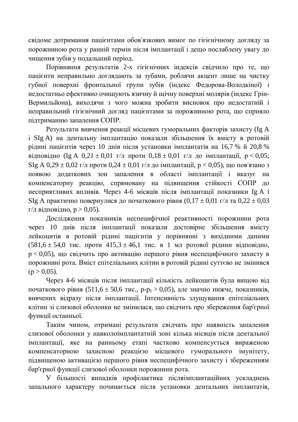свідоме дотримання пацієнтами обов'язкових вимог по гігієнічному догляду за порожниною рота у ранній термін після імплантації і дешо послаблену увагу до чищення зубів у подальший період.

Порівняння результатів 2-х гігієнічних індексів свідчило про те, що пацієнти неправильно доглядають за зубами, роблячи акцент лише на чистку губної поверхні фронтальної групи зубів (індекс Федорова-Володкіної) і недостатньо ефективно очищують язичну й щічну поверхні молярів (індекс Грін-Вермильйона), виходячи з чого можна зробити висновок про недостатній і неправильний гігієнічний догляд пацієнтами за порожниною рота, що сприяло підтриманню запалення СОПР.

Результати вивчення реакції місцевих гуморальних факторів захисту (Ig A і SIg A) на дентальну імплантацію показали збільшення їх вмісту в ротовій рідині пацієнтів через 10 днів після установки імплантатів на 16,7 % й 20,8 % відповідно (Ig A 0,21 ± 0,01 г/л проти  $0.18 \pm 0.01$  г/л до імплантації,  $p < 0.05$ ; SIg A 0,29  $\pm$  0,02 г/л проти 0,24  $\pm$  0,01 г/л до імплантації, р < 0,05), що пов'язано з появою додаткових зон запалення в області імплантації і вказує на компенсаторну реакцію, спрямовану на підвищення стійкості СОПР до несприятливих впливів. Через 4-6 місяців після імплантації показники Ig A і SIg А практично повернулися до початкового рівня  $(0.17 \pm 0.01 \text{ r/m} \text{ rad } 0.22 \pm 0.03 \text{ m}$ г/л відповідно,  $p > 0.05$ ).

Дослідження показників неспецифічної реактивності порожнини рота через 10 днів після імплантації показали достовірне збільшення вмісту лейкоцитів в ротовій рідині пацієнтів у порівнянні з вихідними даними  $(581.6 \pm 54.0 \text{ TMC}$ . проти  $415.3 \pm 46.1 \text{ TMC}$ . в 1 мл ротової рідини відповідно,  $p < 0.05$ ), що свідчить про активацію першого рівня неспецифічного захисту в порожнині рота. Вміст епітеліальних клітин в ротовій рідині суттєво не змінився  $(p > 0.05)$ .

Через 4-6 місяців після імплантації кількість лейкоцитів була вищою від початкового рівня (511,6 ± 50,6 тис., p-p<sub>1</sub> > 0,05), але значно нижче, показників, вивчених відразу після імплантації. Інтенсивність злущування епітеліальних клітин зі слизової оболонки не змінилася, що свідчить про збереження бар'єрної функції останньої.

Таким чином, отримані результати свідчать про наявність запалення слизової оболонки у навколоімплантатній зоні кілька місяців після дентальної імплантації, яке на ранньому етапі частково компенсується вираженою компенсаторною захисною реакцією місцевого гуморального імунітету, підвищеною активацією першого рівня неспецифічного захисту і збереженням бар'єрної функції слизової оболонки порожнини рота.

У більшості випадків профілактика післяімплантаційних ускладнень запального характеру починається після установки дентальних імплантатів,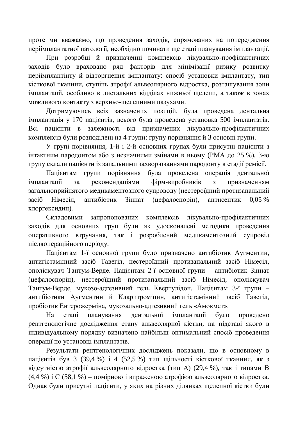проте ми вважаємо, що проведення заходів, спрямованих на попередження періімплантатної патології, необхідно починати ще етапі планування імплантації.

При розробці й призначенні комплексів лікувально-профілактичних заходів було враховано ряд факторів для мінімізації ризику розвитку періімплантіиту й відторгнення імплантату: спосіб установки імплантату, тип кісткової тканини, ступінь атрофії альвеолярного відростка, розташування зони імплантації, особливо в дистальних відділах нижньої щелепи, а також в зонах можливого контакту з верхньо-шелепними пазухами.

Дотримуючись всіх зазначених позицій, була проведена дентальна iмплантация у 170 пацієнтів, всього була проведена установка 500 імплантатів. Всі пацієнти в залежності від призначених лікувально-профілактичних комплексів були розподілені на 4 групи: групу порівняння й 3 основні групи.

У групі порівняння, 1-й і 2-й основних групах були присутні пацієнти з інтактним пародонтом або з незначними змінами в ньому (РМА до 25 %). 3-ю групу склали пацієнти із запальними захворюваннями пародонту в стадії ремісії.

Пацієнтам групи порівняння була проведена операція дентальної імплантації за рекомендаціями фірм-виробників з призначенням загальноприйнятого медикаментозного супроводу (нестероїдний протизапальний засіб Німесіл, антибіотик Зіннат (цефалоспорін), антисептик 0,05 % хлоргексилин).

Складовими запропонованих комплексів лікувально-профілактичних заходів для основних груп були як удосконалені методики проведення оперативного втручання, так і розроблений медикаментозний супровід післяопераційного періоду.

Пацієнтам 1-ї основної групи було призначено антибіотик Аугментин, антигістамінний засіб Тавегіл, нестероїдний протизапальний засіб Німесіл, ополіскувач Тантум-Верде. Пацієнтам 2-ї основної групи – антибіотик Зіннат (цефалоспорін), нестероїдний протизапальний засіб Німесіл, ополіскувач Тантум-Верде, мукозо-адгезивний гель Квертулідон. Пацієнтам 3-ї групи – антибіотики Аугментин й Кларитроміцин, антигістамінний засіб Тавегіл, пробіотик Ентерожерміна, мукозально-адгезивний гель «Амокмет».

На етапі планування дентальної імплантації було проведено рентгенологічне дослідження стану альвеолярної кістки, на підставі якого в індивідуальному порядку визначено найбільш оптимальний спосіб проведення операції по установці імплантатів.

Результати рентгенологічних досліджень показали, що в основному в пацієнтів був 3 (39,4 %) і 4 (52,5 %) тип щільності кісткової тканини, як з відсутністю атрофії альвеолярного відростка (тип А) (29,4 %), так і типами В  $(4.4\%)$  і С $(58.1\%)$  – помірною і вираженою атрофією альвеолярного відростка. Однак були присутні пацієнти, у яких на різних ділянках щелепної кістки були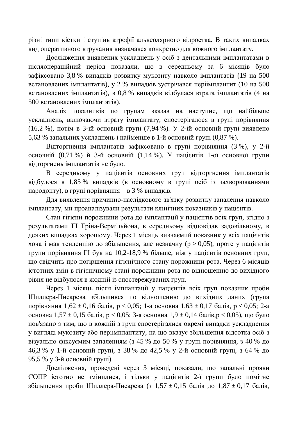різні типи кістки і ступінь атрофії альвеолярного відростка. В таких випадках вид оперативного втручання визначався конкретно для кожного імплантату.

Дослідження виявлених ускладнень у осіб з дентальними імплантатами в післяопераційний період показали, що в середньому за 6 місяців було зафіксовано 3,8 % випадків розвитку мукозиту навколо імплантатів (19 на 500 встановлених імплантатів), у 2 % випадків зустрічався періімплантит (10 на 500 встановлених імплантатів), в 0,8 % випадків відбулася втрата імплантатів (4 на 500 встановлених імплантатів).

Аналіз показників по групам вказав на наступне, що найбільше ускладнень, включаючи втрату імплантату, спостерігалося в групі порівняння (16,2 %), потім в 3-ій основній групі (7,94 %). У 2-ій основній групі виявлено 5,63 % запальних ускладнень і найменше в 1-й основній групі (0,87 %).

Відторгнення імплантатів зафіксовано в групі порівняння (3 %), у 2-й основній (0,71 %) й 3-й основній (1,14 %). У пацієнтів 1-ої основної групи відторгнень імплантатів не було.

В середньому у пацієнтів основних груп відторгнення імплантатів відбулося в 1,85 % випадків (в основному в групі осіб із захворюваннями пародонту), в групі порівняння – в 3 % випадків.

Для виявлення причинно-наслідкового зв'язку розвитку запалення навколо імплантату, ми проаналізували результати клінічних показників у пацієнтів.

Стан гігієни порожнини рота до імплантації у пацієнтів всіх груп, згідно з результатами ГІ Гріна-Вермільйона, в середньому відповідав задовільному, в деяких випадках хорошому. Через 1 місяць вивчаємий показник у всіх пацієнтів хоча i мав тенденцію до збільшення, але незначну ( $p > 0.05$ ), проте у пацієнтів групи порівняння  $\Gamma$ І був на 10,2-18,9 % більше, ніж у пацієнтів основних груп, що свідчить про погіршення гігієнічного стану порожнини рота. Через 6 місяців істотних змін в гігієнічному стані порожнини рота по відношенню до вихідного рівня не відбулося в жодній із спостережуваних груп.

Через 1 місяць після імплантації у пацієнтів всіх груп показник проби Шиллера-Писарева збільшився по відношенню до вихідних даних (група порівняння  $1,62 \pm 0,16$  балів,  $p < 0,05$ ; 1-а основна  $1,63 \pm 0,17$  балів,  $p < 0,05$ ; 2-а основна  $1.57 \pm 0.15$  балів, р < 0.05; 3-я основна  $1.9 \pm 0.14$  балів, р < 0.05), що було пов'язано з тим, що в кожній з груп спостерігалися окремі випадки ускладнення у вигляді мукозиту або періімплантиту, на що вказує збільшення відсотка осіб з візуально фіксуємим запаленням (з 45 % до 50 % у групі порівняння, з 40 % до 46,3 % у 1-й основній групі, з 38 % до 42,5 % у 2-й основній групі, з 64 % до 95,5 % у 3-й основній групі).

Дослідження, проведені через 3 місяці, показали, що запальні прояви СОПР істотно не змінилися, і тільки у пацієнтів 2-ї групи було помітне збільшення проби Шиллера-Писарева (з 1,57 ± 0,15 балів до 1,87 ± 0,17 балів,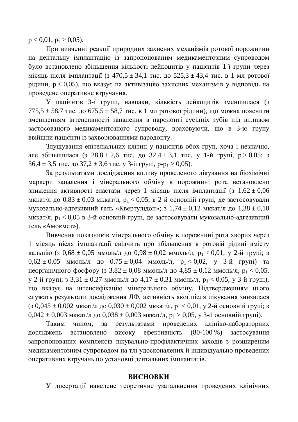$p < 0.01$ ,  $p_1 > 0.05$ ).

При вивченні реакції природних захисних механізмів ротової порожнини на дентальну імплантацію із запропонованим медикаментозним супроводом було встановлено збільшення кількості лейкоцитів у пацієнтів 1-ї групи через місяць після імплантації (з 470,5 ± 34,1 тис. до 525,3 ± 43,4 тис. в 1 мл ротової рідини,  $p < 0.05$ ), що вказує на активізацію захисних механізмів у відповідь на проведене оперативне втручання.

У пацієнтів 3-ї групи, навпаки, кількість лейкоцитів зменшилася (з  $775,5 \pm 58,7$  тис. до  $675,5 \pm 58,7$  тис. в 1 мл ротової рідини), що можна пояснити зменшенням інтенсивності запалення в пародонті сусідніх зубів під впливом застосованого медикаментозного супроводу, враховуючи, що в 3-ю групу ввійшли пацієнти із захворюваннями пародонту.

Злущування епітеліальних клітин у пацієнтів обох груп, хоча і незначно, але збільшилася (з 28,8 ± 2,6 тис. до 32,4 ± 3,1 тис. у 1-й групі,  $p > 0.05$ ; з  $36,4 \pm 3.5$  THC.  $\mu$ <sup>o</sup>  $37.2 \pm 3.6$  THC.  $\gamma$  3- $\mu$  Tpyni,  $p-p_1 > 0.05$ ).

За результатами дослідження впливу проведеного лікування на біохімічні маркери запалення і мінерального обміну в порожнині рота встановлено зниження активності еластази через 1 місяць після імплантації (з  $1,62 \pm 0,06$ мккат/л до  $0.83 \pm 0.03$  мккат/л,  $p_1 < 0.05$ , в 2-й основній групі, де застосовували мукозально-адгезивний гель «Квертулідон»; з 1,74 ± 0,12 мккат/л до 1,38 ± 0,10 мккат/л,  $p_1 < 0.05$  в 3-й основній групі, де застосовували мукозально-адгезивний гель «Амокмет»).

Вивчення показників мінерального обміну в порожнині рота хворих через 1 місяць після імплантації свідчить про збільшення в ротовій рідині вмісту кальцію (з 0,68 ± 0,05 ммоль/л до 0,98 ± 0,02 ммоль/л,  $p_1 < 0.01$ , у 2-й групі; з  $0.62 \pm 0.05$  MMOJIb/J  $\mu$  0.75  $\pm$  0.04 MMOJIb/J,  $p_1 < 0.02$ , y 3- $\tilde{H}$  rpyni) ta неорганічного фосфору (з 3,82 ± 0,08 ммоль/л до 4,85 ± 0,12 ммоль/л,  $p_1 < 0.05$ , у 2-й групі; з 3,31 ± 0,27 ммоль/л до 4,17 ± 0,31 ммоль/л,  $p_1 < 0.05$ , у 3-й групі), що вказує на інтенсифікацію мінерального обміну. Підтвердженням цього служать результати дослідження ЛФ, активність якої після лікування знизилася (з 0,045  $\pm$  0,002 мккат/л до 0,030  $\pm$  0,002 мккат/л, р<sub>1</sub> < 0,01, у 2-й основній групі; з  $0.042 \pm 0.003$  MKKat/ $\pi$  to  $0.038 \pm 0.003$  MKKat/ $\pi$ ,  $p_1 > 0.05$ ,  $\gamma$  3-й основній групі).

Таким чином, за результатами проведених клініко-лабораторних досліджень встановлено високу ефективність (80-100 %) застосування запропонованих комплексів лікувально-профілактичних заходів з розширеним медикаментозним супроводом на тлі удосконалених й індивідуально проведених оперативних втручань по установці дентальних імплантатів.

#### **ВИСНОВКИ**

У дисертації наведене теоретичне узагальнення проведених клінічних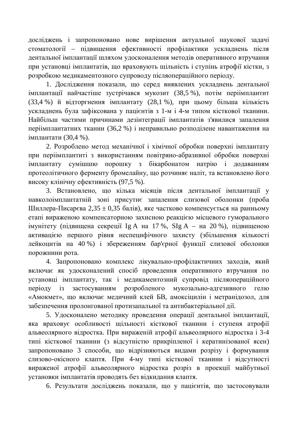досліджень і запропоновано нове вирішення актуальної наукової задачі стоматології – підвищення ефективності профілактики ускладнень після дентальної імплантації шляхом удосконалення методів оперативного втручання при установці імплантатів, що враховують щільність і ступінь атрофії кістки, з розробкою медикаментозного супроводу післяопераційного періоду.

1. Дослідження показали, що серед виявлених ускладнень дентальної імплантації найчастіше зустрічався мукозит (38,5 %), потім періімплантит (33.4 %) й відторгнення імплантату (28,1 %), при цьому більша кількість ускладнень була зафіксована у пацієнтів з 1-м і 4-м типом кісткової тканини. Найбільш частими причинами дезінтеграції імплантатів з'явилися запалення періімплантатних тканин (36,2 %) і неправильно розподілене навантаження на імплантати (30,4 %).

2. Розроблено метод механічної і хімічної обробки поверхні імплантату при періімплантиті з використанням повітряно-абразивної обробки поверхні імплантату сумішшю порошку з бікарбонатом натрію і додаванням протеолітичного ферменту бромелайну, що розчиняє наліт, та встановлено його високу клінічну ефективність (97,5 %).

3. Встановлено, що кілька місяців після дентальної імплантації у навколоімплантатній зоні присутнє запалення слизової оболонки (проба Шиллера-Писарєва 2,35 ± 0,35 балів), яке частково компенсується на ранньому етапі вираженою компенсаторною захисною реакцією місцевого гуморального імунітету (підвищена секреції Ig A на 17 %, SIg A – на 20 %), підвищеною активацією першого рівня неспецифічного захисту (збільшення кількості лейкоцитів на 40%) і збереженням бар'єрної функції слизової оболонки порожнини рота.

4. Запропоновано комплекс лікувально-профілактичних заходів, який включає як удосконалений спосіб проведення оперативного втручання по установці імплантату, так і медикаментозний супровід післяопераційного періоду із застосуванням розробленого мукозально-адгезивного гелю «Амокмет», що включає медичний клей БВ, амоксіцилін і метранідозол, для забезпечення пролонгованої протизапальної та антибактеріальної дії.

5. Удосконалено методику проведення операції дентальної імплантації, яка враховує особливості щільності кісткової тканини і ступеня атрофії альвеолярного відростка. При вираженій атрофії альвеолярного відростка і 3-4 типі кісткової тканини (з відсутністю прикріпленої і кератинізованої ясен) запропоновано 3 способи, що відрізняються видами розрізу і формування слизово-окісного клаптя. При 4-му типі кісткової тканини і відсутності вираженої атрофії альвеолярного відростка розріз в проекції майбутньої установки імплантатів проводять без відкидання клаптя.

6. Результати досліджень показали, що у пацієнтів, що застосовували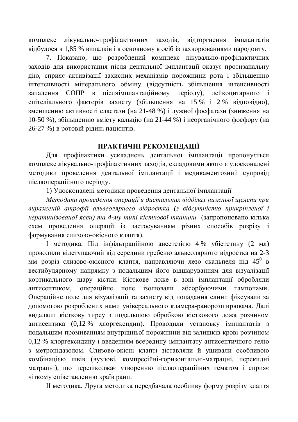комплекс лікувально-профілактичних заходів, відторгнення імплантатів відбулося в 1,85 % випадків і в основному в осіб із захворюваннями пародонту.

7. Показано, що розроблений комплекс лікувально-профілактичних заходів для використання після дентальної імплантації оказує протизапальну дію, сприяє активізації захисних механізмів порожнини рота і збільшенню інтенсивності мінерального обміну (відсутність збільшення інтенсивності запалення СОПР в післяімплантаційному періоду), лейкоцитарного і eпітеліального факторів захисту (збільшення на 15 % і 2 % вілповілно), зменшенню активності еластази (на 21-48 %) і лужної фосфатази (зниження на 10-50 %), збільшенню вмісту кальцію (на 21-44 %) і неорганічного фосфору (на 26-27 %) в ротовій рідині пацієнтів.

### ПРАКТИЧНІ РЕКОМЕНДАЦІЇ

Для профілактики ускладнень дентальної імплантації пропонується комплекс лікувально-профілактичних заходів, складовими якого є удосконалені методики проведення дентальної імплантації і медикаментозний супровід післяопераційного періоду.

1) Удосконалені методики проведення дентальної імплантації

Методики проведення операції в дистальних відділах нижньої щелепи при вираженій атрофії альвеолярного відростка (з відсутністю прикріпленої і кератинізованої ясен) та 4-му типі кісткової тканини (запропоновано кілька схем проведення операції із застосуванням різних способів розрізу і формування слизово-окісного клаптя).

I методика. Під інфільтраційною анестезією 4 % убістезину (2 мл) проводили відступаючий від середини гребеню альвеолярного відростка на 2-3 мм розріз слизово-окісного клаптя, направляючи лезо скальпеля під 45<sup>0</sup> в вестибулярному напрямку з подальшим його відшаруванням для візуалізації кортикального шару кістки. Кісткове ложе в зоні імплантації обробляли антисептиком, операційне поле ізолювали абсорбуючими тампонами. Операційне поле для візуалізації та захисту від попадання слини фіксували за допомогою розроблених нами універсального кламера-ранорозширювача. Далі видаляли кісткову тирсу з подальшою обробкою кісткового ложа розчином антисептика (0,12 % хлоргексидин). Проводили установку імплантатів з подальшим промиванням внутрішньої порожнини від залишків крові розчином 0,12 % хлоргексидину і введенням всередину імплантату антисептичного гелю з метронідазолом. Слизово-окісні клапті зіставляли й ушивали особливою комбінацією швів (вузлові, компресійні-горизонтальні-матрацні, перекидні матрацні), що перешкоджає утворенню післяопераційних гематом і сприяє чіткому співставленню країв рани.

II методика. Друга методика передбачала особливу форму розрізу клаптя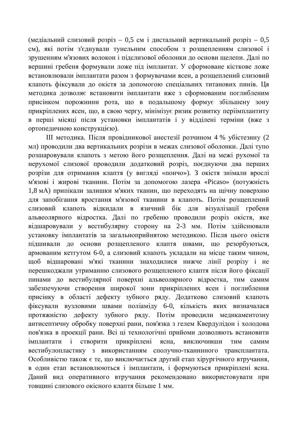(медіальний слизовий розріз – 0,5 см і дистальний вертикальний розріз – 0,5 см), які потім з'єднували тунельним способом з розщепленням слизової і зрушенням м'язових волокон і підслизової оболонки до основи щелепи. Далі по вершині гребеня формували ложе під імплантат. У сформоване кісткове ложе встановлювали імплантати разом з формувачами ясен, а розщеплений слизовий клапоть фіксували до окістя за допомогою спеціальних титанових пинів. Ця методика дозволяє встановити імплантати вже з сформованим поглибленим присінком порожнини рота, що в подальшому формує збільшену зону прикріплених ясен, що, в свою чергу, мінімізує ризик розвитку періімплантиту в перші місяці після установки імплантатів і у відділені терміни (вже з ортопедичною конструкцією).

Ш методика. Після провідникової анестезії розчином 4 % убістезину (2 мл) проводили два вертикальних розрізи в межах слизової оболонки. Далі тупо розшаровували клапоть з метою його розщеплення. Далі на межі рухомої та нерухомої слизової проводили додатковий розріз, поєднуючи два перших розрізи для отримання клаптя (у вигляді «пончо»). З окістя знімали врослі м'язові і жирові тканини. Потім за допомогою лазера «Picaso» (потужність 1,8 мА) припікали залишки м'яких тканин, що переходять на щічну поверхню для запобігання вростання м'язової тканини в клапоть. Потім розщеплений слизовий клапоть відкидали в язичний бік для візуалізації гребеня альвеолярного відростка. Далі по гребеню проводили розріз окістя, яке відшаровували у вестибулярну сторону на 2-3 мм. Потім здійснювали установку імплантатів за загальноприйнятою методикою. Після цього окістя підшивали до основи розщепленого клаптя швами, що резорбуються, армованим кетгутом 6-0, а слизовий клапоть укладали на місце таким чином, щоб відшаровані м'які тканини знаходилися нижче лінії розрізу і не перешкоджали утриманню слизового розщепленого клаптя після його фіксації пинами до вестибулярної поверхні альвеолярного відростка, тим самим забезпечуючи створення широкої зони прикріплених ясен і поглиблення присінку в області дефекту зубного ряду. Додатково слизовий клапоть фіксували вузловими швами поліаміду 6-0, кількість яких визначалася протяжністю дефекту зубного ряду. Потім проводили медикаментозну антисептичну обробку поверхні рани, пов'язка з гелем Квердулідон і холодова пов'язка в проекції рани. Всі ці технологічні прийоми дозволяють встановити імплантати і створити прикріплені ясна, виключивши тим самим вестибулопластику з використанням сполучно-тканинного трансплантата. Особливістю також є те, що виключається другий етап хірургічного втручання, в один етап встановлюються і імплантати, і формуються прикріплені ясна. Даний вид оперативного втручання рекомендовано використовувати при товшині слизового окісного клаптя більше 1 мм.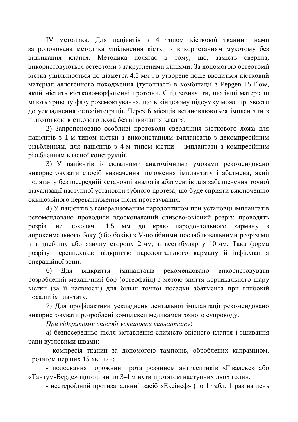IV методика. Для пацієнтів з 4 типом кісткової тканини нами запропонована методика ущільнення кістки з використанням мукотому без вілкилання клаптя. Метолика полягає в тому, що, замість свердла, використовуються остеотоми з закругленими кінцями. За допомогою остеотомії кістка ущільнюється до діаметра 4,5 мм і в утворене ложе вводиться кістковий матеріал аллогенного походження (тутопласт) в комбінації з Pepgen 15 Flow, який містить кістковоморфогенні протеїни. Слід зазначити, що інші матеріали мають тривалу фазу розсмоктування, що в кінцевому підсумку може призвести до ускладнення остеоінтеграції. Через 6 місяців встановлюються імплантати з пілготовкою кісткового ложа без вілкилання клаптя.

2) Запропоновано особливі протоколи свердління кісткового ложа для пацієнтів з 1-м типом кістки з використанням імплантатів з декомпресійним різьбленням, для пацієнтів з 4-м типом кістки – імплантати з компресійним різьбленням власної конструкції.

3) У пацієнтів із складними анатомічними умовами рекомендовано використовувати спосіб визначення положення імплантату і абатмена, який полягає у безпосередній установці аналогів абатментів для забезпечення точної візуалізації наступної установки зубного протеза, що буде сприяти виключенню окклюзійного перевантаження після протезування.

4) У пацієнтів з генералізованим пародонтитом при установці імплантатів рекомендовано проводити вдосконалений слизово-окісний розріз: проводять розріз, не доходячи 1,5 мм до краю пародонтального карману з апроксимального боку (або боків) з V-подібними послаблювальними розрізами в піднебінну або язичну сторону 2 мм, в вестибулярну 10 мм. Така форма розрізу перешкоджає відкриттю пародонтального карману й інфікування операційної зони.

6) Для відкриття імплантатів рекомендовано використовувати розроблений механічний бор (остеофайл) з метою зняття кортикального шару кістки (за її наявності) для більш точної посадки абатмента при глибокій посадці імплантату.

7) Для профілактики ускладнень дентальної імплантації рекомендовано використовувати розроблені комплекси медикаментозного супроводу.

 $\Pi$ ри відкритому способі установки імплантату:

а) безпосередньо після зіставлення слизисто-окісного клаптя і зшивання рани вузловими швами:

- компресія тканин за допомогою тампонів, оброблених капраміном, протягом перших 15 хвилин;

- полоскання порожнини рота розчином антисептиків «Гівалекс» або «Тантум-Верде» щогодини по 3-4 мінути протягом наступних двох годин;

- нестероїдний протизапальний засіб «Ексінеф» (по 1 табл. 1 раз на день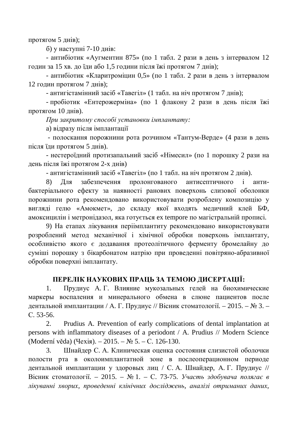протягом  $5 \mu$ нів);

 $6)$  у наступні 7-10 днів:

- антибіотик «Аугментин 875» (по 1 табл. 2 рази в день з інтервалом 12 годин за 15 хв. до їди або 1,5 години після їжі протягом 7 днів);

- антибіотик «Кларитроміцин 0,5» (по 1 табл. 2 рази в день з інтервалом 12 годин протягом 7 днів);

- антигістамінний засіб «Тавегіл» (1 табл. на ніч протягом 7 днів);

- пробіотик «Ентерожерміна» (по 1 флакону 2 рази в день після їжі протягом  $10 \mu$ нів).

 $\Pi$ ри закритому способі установки імплантату:

а) відразу після імплантації

- полоскання порожнини рота розчином «Тантум-Верде» (4 рази в день після їли протягом 5 лнів).

- нестероїдний протизапальний засіб «Німесил» (по 1 порошку 2 рази на день після їжі протягом 2-х днів)

- антигістамінний засіб «Тавегіл» (по 1 табл. на ніч протягом 2 днів).

8) Для забезпечення пролонгованого антисептичного і антибактеріального ефекту за наявності ранових поверхонь слизової оболонки порожнини рота рекомендовано використовувати розроблену композицію у вигляді гелю «Амокмет», до складу якої входять медичний клей БФ, амоксицилін і метронідазол, яка готується ех tempore по магістральній прописі.

9) На етапах лікування періімплантиту рекомендовано використовувати розроблений метод механічної і хімічної обробки поверхонь імплантату, особливістю якого є додавання протеолітичного ферменту бромелайну до суміші порошку з бікарбонатом натрію при проведенні повітряно-абразивної обробки поверхні імплантату.

## ПЕРЕЛІК НАУКОВИХ ПРАЦЬ ЗА ТЕМОЮ ДИСЕРТАЦІЇ:

1. Прудиус А. Г. Влияние мукозальных гелей на биохимические маркеры воспаления и минерального обмена в слюне пациентов после дентальной имплантации / А. Г. Прудиус // Вісник стоматології. – 2015. – № 3. – C. 53-56.

2. Prudius A. Prevention of early complications of dental implantation at persons with inflammatory diseases of a periodont / A. Prudius // Modern Science  $(Moderní věda)$  (Чехія). – 2015. – № 5. – С. 126-130.

3. Шнайдер С. А. Клиническая оценка состояния слизистой оболочки полости рта в околоимплантатной зоне в послеоперационном периоде дентальной имплантации у здоровых лиц / С. А. Шнайдер, А. Г. Прудиус // Вісник стоматології. – 2015. – № 1. – С. 73-75. Участь здобувача полягає в лікуванні хворих, проведенні клінічних досліджень, аналізі отриманих даних,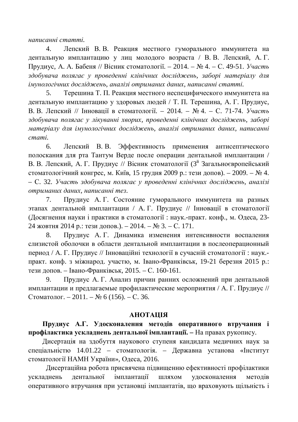*ɧɚɩɢɫɚɧɧɿɫɬɚɬɬɿ.*

4. Лепский В. В. Реакция местного гуморального иммунитета на дентальную имплантацию у лиц молодого возраста / В. В. Лепский, А.Г. Прудиус, А. А. Бабеня // Вісник стоматології. – 2014. – № 4. – С. 49-51. *Участь* здобувача полягає у проведенні клінічних досліджень, заборі матеріалу для  $i$ мунологічних досліджень, аналізі отриманих даних, написанні статті.

5. Терешина Т. П. Реакция местного неспецифического иммунитета на дентальную имплантацию у здоровых людей / Т. П. Терешина, А. Г. Прудиус. В. В. Лепский // Інновації в стоматології. – 2014. – № 4. – С. 71-74. Участь здобувача полягає у лікуванні хворих, проведенні клінічних досліджень, заборі матеріалу для імунологічних досліджень, аналізі отриманих даних, написанні  $c$ *mami*.

6. Лепский В. В. Эффективность применения антисептического полоскания для рта Тантум Верде после операции дентальной имплантации / В. В. Лепский, А. Г. Прудиус // Вісник стоматології (3<sup>й</sup> Загальноєвропейський стоматологічний конгрес, м. Київ, 15 грудня 2009 р.: тези допов). – 2009. – № 4. – ɋ. 32. *ɍɱɚɫɬɶ ɡɞɨɛɭɜɚɱɚ ɩɨɥɹɝɚɽ ɭ ɩɪɨɜɟɞɟɧɧɿ ɤɥɿɧɿɱɧɢɯ ɞɨɫɥɿɞɠɟɧɶ, ɚɧɚɥɿɡɿ*  $om$ *ыманих даних, написанні тез.* 

7. Прудиус А. Г. Состояние гуморального иммунитета на разных этапах дентальной имплантации / А.Г. Прудиус // Інновації в стоматології (Досягнення науки і практики в стоматології: наук.-практ. конф., м. Одеса, 23- $24$  жовтня 2014 р.: тези допов.). – 2014. – № 3. – С. 171.

8. Прудиус А. Г. Динамика изменения интенсивности воспаления слизистой оболочки в области дентальной имплантации в послеоперационный период / А. Г. Прудиус // Інноваційні технології в сучасній стоматології: наук.практ. конф. з міжнарод. участю, м. Івано-Франківськ, 19-21 березня 2015 р.: тези допов. – Івано-Франківськ, 2015. – С. 160-161.

9. Прудиус А. Г. Анализ причин ранних осложнений при дентальной имплантации и предлагаемые профилактические мероприятия / А. Г. Прудиус // Стоматолог. – 2011. – № 6 (156). – С. 36.

#### **AHOTALIJA**

Прудиус А.Г. Удосконалення методів оперативного втручання і профілактика ускладнень дентальної імплантації. – На правах рукопису.

Дисертація на здобуття наукового ступеня кандидата медичних наук за спеціальністю 14.01.22 – стоматологія. – Державна установа «Інститут стоматології НАМН України», Одеса, 2016.

Дисертаційна робота присвячена підвищенню ефективності профілактики ускладнень дентальної імплантації шляхом удосконалення методів оперативного втручання при установці імплантатів, що враховують щільність і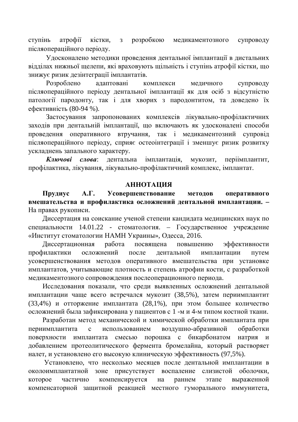ступінь атрофії кістки, з розробкою медикаментозного супроводу післяопераційного періоду.

Удосконалено методики проведення дентальної імплантації в дистальних відділах нижньої щелепи, які враховують щільність і ступінь атрофії кістки, що знижує ризик дезінтеграції імплантатів.

Розроблено адаптовані комплекси медичного супроводу післяопераційного періоду дентальної імплантації як для осіб з відсутністю патології пародонту, так і для хворих з пародонтитом, та доведено їх ефективність (80-94 %).

Застосування запропонованих комплексів лікувально-профілактичних заходів при дентальній імплантації, що включають як удосконалені способи проведення оперативного втручання, так і медикаментозний супровід післяопераційного періоду, сприяє остеоінтеграції і зменшує ризик розвитку ускладнень запального характеру.

Ключові слова: дентальна імплантація, мукозит, періімплантит, профілактика, лікування, лікувально-профілактичний комплекс, імплантат.

#### **АННОТАЦИЯ**

Прудиус А.Г. Усовершенствование методов оперативного **вмешательства и профилактика осложнений дентальной имплантации.** -На правах рукописи.

Диссертация на соискание ученой степени кандидата медицинских наук по специальности 14.01.22 - стоматология. – Государственное учреждение «Институт стоматологии НАМН Украины», Одесса, 2016.

Диссертационная работа посвящена повышению эффективности профилактики осложнений после дентальной имплантации путем усовершенствования методов оперативного вмешательства при установке имплантатов, учитывающие плотность и степень атрофии кости, с разработкой медикаментозного сопровождения послеоперационного периода.

Исследования показали, что среди выявленных осложнений дентальной имплантации чаще всего встречался мукозит (38,5%), затем периимплантит (33,4%) и отторжение имплантата (28,1%), при этом большее количество осложнений была зафиксирована у пациентов с 1 -м и 4-м типом костной ткани.

Разработан метод механической и химической обработки имплантата при периимплантита с использованием воздушно-абразивной обработки поверхности имплантата смесью порошка с бикарбонатом натрия и добавлением протеолитического фермента бромелайна, который растворяет налет, и установлено его высокую клиническую эффективность (97,5%).

Установлено, что несколько месяцев после дентальной имплантации в околоимплантатной зоне присутствует воспаление слизистой оболочки, которое частично компенсируется на раннем этапе выраженной компенсаторной защитной реакцией местного гуморального иммунитета,